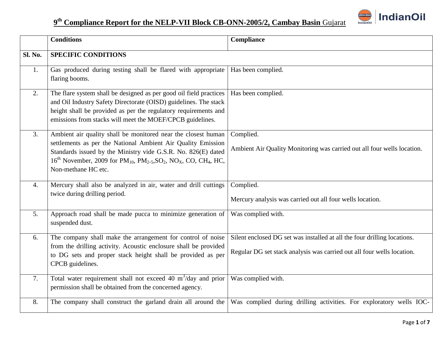

|                  | <b>Conditions</b>                                                                                                                                                                                                                                                                                                                                           | Compliance                                                                                                                                         |
|------------------|-------------------------------------------------------------------------------------------------------------------------------------------------------------------------------------------------------------------------------------------------------------------------------------------------------------------------------------------------------------|----------------------------------------------------------------------------------------------------------------------------------------------------|
| <b>Sl. No.</b>   | <b>SPECIFIC CONDITIONS</b>                                                                                                                                                                                                                                                                                                                                  |                                                                                                                                                    |
| 1.               | Gas produced during testing shall be flared with appropriate<br>flaring booms.                                                                                                                                                                                                                                                                              | Has been complied.                                                                                                                                 |
| 2.               | The flare system shall be designed as per good oil field practices<br>and Oil Industry Safety Directorate (OISD) guidelines. The stack<br>height shall be provided as per the regulatory requirements and<br>emissions from stacks will meet the MOEF/CPCB guidelines.                                                                                      | Has been complied.                                                                                                                                 |
| 3.               | Ambient air quality shall be monitored near the closest human<br>settlements as per the National Ambient Air Quality Emission<br>Standards issued by the Ministry vide G.S.R. No. 826(E) dated<br>$16^{th}$ November, 2009 for PM <sub>10</sub> , PM <sub>2</sub> , 5, SO <sub>2</sub> , NO <sub>X</sub> , CO, CH <sub>4</sub> , HC,<br>Non-methane HC etc. | Complied.<br>Ambient Air Quality Monitoring was carried out all four wells location.                                                               |
| $\overline{4}$ . | Mercury shall also be analyzed in air, water and drill cuttings<br>twice during drilling period.                                                                                                                                                                                                                                                            | Complied.<br>Mercury analysis was carried out all four wells location.                                                                             |
| 5.               | Approach road shall be made pucca to minimize generation of<br>suspended dust.                                                                                                                                                                                                                                                                              | Was complied with.                                                                                                                                 |
| 6.               | The company shall make the arrangement for control of noise<br>from the drilling activity. Acoustic enclosure shall be provided<br>to DG sets and proper stack height shall be provided as per<br>CPCB guidelines.                                                                                                                                          | Silent enclosed DG set was installed at all the four drilling locations.<br>Regular DG set stack analysis was carried out all four wells location. |
| 7.               | Total water requirement shall not exceed 40 $m^3$ /day and prior<br>permission shall be obtained from the concerned agency.                                                                                                                                                                                                                                 | Was complied with.                                                                                                                                 |
| 8.               | The company shall construct the garland drain all around the                                                                                                                                                                                                                                                                                                | Was complied during drilling activities. For exploratory wells IOC-                                                                                |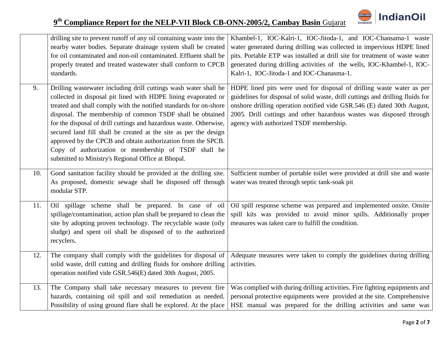

|     | drilling site to prevent runoff of any oil containing waste into the<br>nearby water bodies. Separate drainage system shall be created<br>for oil contaminated and non-oil contaminated. Effluent shall be<br>properly treated and treated wastewater shall conform to CPCB<br>standards.                                                                                                                                                                                                                                                                                                    | Khambel-1, IOC-Kalri-1, IOC-Jitoda-1, and IOC-Chansama-1 waste<br>water generated during drilling was collected in impervious HDPE lined<br>pits. Portable ETP was installed at drill site for treatment of waste water<br>generated during drilling activities of the wells, IOC-Khambel-1, IOC-<br>Kalri-1, IOC-Jitoda-1 and IOC-Chanasma-1.        |
|-----|----------------------------------------------------------------------------------------------------------------------------------------------------------------------------------------------------------------------------------------------------------------------------------------------------------------------------------------------------------------------------------------------------------------------------------------------------------------------------------------------------------------------------------------------------------------------------------------------|-------------------------------------------------------------------------------------------------------------------------------------------------------------------------------------------------------------------------------------------------------------------------------------------------------------------------------------------------------|
| 9.  | Drilling wastewater including drill cuttings wash water shall be<br>collected in disposal pit lined with HDPE lining evaporated or<br>treated and shall comply with the notified standards for on-shore<br>disposal. The membership of common TSDF shall be obtained<br>for the disposal of drill cuttings and hazardous waste. Otherwise,<br>secured land fill shall be created at the site as per the design<br>approved by the CPCB and obtain authorization from the SPCB.<br>Copy of authorization or membership of TSDF shall be<br>submitted to Ministry's Regional Office at Bhopal. | HDPE lined pits were used for disposal of drilling waste water as per<br>guidelines for disposal of solid waste, drill cuttings and drilling fluids for<br>onshore drilling operation notified vide GSR.546 (E) dated 30th August,<br>2005. Drill cuttings and other hazardous wastes was disposed through<br>agency with authorized TSDF membership. |
| 10. | Good sanitation facility should be provided at the drilling site.<br>As proposed, domestic sewage shall be disposed off through<br>modular STP.                                                                                                                                                                                                                                                                                                                                                                                                                                              | Sufficient number of portable toilet were provided at drill site and waste<br>water was treated through septic tank-soak pit                                                                                                                                                                                                                          |
| 11. | Oil spillage scheme shall be prepared. In case of oil<br>spillage/contamination, action plan shall be prepared to clean the<br>site by adopting proven technology. The recyclable waste (oily<br>sludge) and spent oil shall be disposed of to the authorized<br>recyclers.                                                                                                                                                                                                                                                                                                                  | Oil spill response scheme was prepared and implemented onsite. Onsite<br>spill kits was provided to avoid minor spills. Additionally proper<br>measures was taken care to fulfill the condition.                                                                                                                                                      |
| 12. | The company shall comply with the guidelines for disposal of<br>solid waste, drill cutting and drilling fluids for onshore drilling<br>operation notified vide GSR.546(E) dated 30th August, 2005.                                                                                                                                                                                                                                                                                                                                                                                           | Adequate measures were taken to comply the guidelines during drilling<br>activities.                                                                                                                                                                                                                                                                  |
| 13. | The Company shall take necessary measures to prevent fire<br>hazards, containing oil spill and soil remediation as needed.<br>Possibility of using ground flare shall be explored. At the place                                                                                                                                                                                                                                                                                                                                                                                              | Was complied with during drilling activities. Fire fighting equipments and<br>personal protective equipments were provided at the site. Comprehensive<br>HSE manual was prepared for the drilling activities and same was                                                                                                                             |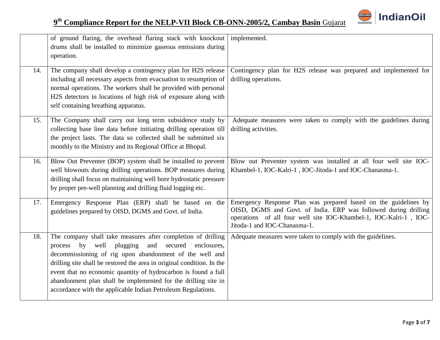

|     | of ground flaring, the overhead flaring stack with knockout implemented.<br>drums shall be installed to minimize gaseous emissions during<br>operation.                                                                                                                                                                                                                                                                                                                     |                                                                                                                                                                                                                                         |
|-----|-----------------------------------------------------------------------------------------------------------------------------------------------------------------------------------------------------------------------------------------------------------------------------------------------------------------------------------------------------------------------------------------------------------------------------------------------------------------------------|-----------------------------------------------------------------------------------------------------------------------------------------------------------------------------------------------------------------------------------------|
| 14. | The company shall develop a contingency plan for H2S release<br>including all necessary aspects from evacuation to resumption of<br>normal operations. The workers shall be provided with personal<br>H2S detectors in locations of high risk of exposure along with<br>self containing breathing apparatus.                                                                                                                                                                | Contingency plan for H2S release was prepared and implemented for<br>drilling operations.                                                                                                                                               |
| 15. | The Company shall carry out long term subsidence study by<br>collecting base line data before initiating drilling operation till<br>the project lasts. The data so collected shall be submitted six<br>monthly to the Ministry and its Regional Office at Bhopal.                                                                                                                                                                                                           | Adequate measures were taken to comply with the guidelines during<br>drilling activities.                                                                                                                                               |
| 16. | Blow Out Preventer (BOP) system shall be installed to prevent<br>well blowouts during drilling operations. BOP measures during<br>drilling shall focus on maintaining well bore hydrostatic pressure<br>by proper pre-well planning and drilling fluid logging etc.                                                                                                                                                                                                         | Blow out Preventer system was installed at all four well site IOC-<br>Khambel-1, IOC-Kalri-1, IOC-Jitoda-1 and IOC-Chanasma-1.                                                                                                          |
| 17. | Emergency Response Plan (ERP) shall be based on the<br>guidelines prepared by OISD, DGMS and Govt. of India.                                                                                                                                                                                                                                                                                                                                                                | Emergency Response Plan was prepared based on the guidelines by<br>OISD, DGMS and Govt. of India. ERP was followed during drilling<br>operations of all four well site IOC-Khambel-1, IOC-Kalri-1, IOC-<br>Jitoda-1 and IOC-Chanasma-1. |
| 18. | The company shall take measures after completion of drilling<br>plugging<br>secured<br>process<br>by<br>well<br>and<br>enclosures,<br>decommissioning of rig upon abandonment of the well and<br>drilling site shall be restored the area in original condition. In the<br>event that no economic quantity of hydrocarbon is found a full<br>abandonment plan shall be implemented for the drilling site in<br>accordance with the applicable Indian Petroleum Regulations. | Adequate measures were taken to comply with the guidelines.                                                                                                                                                                             |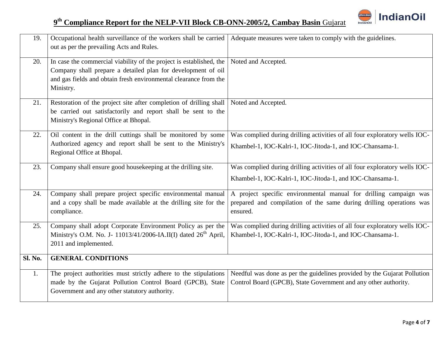

| 19.     | Occupational health surveillance of the workers shall be carried<br>out as per the prevailing Acts and Rules.                                                                                                        | Adequate measures were taken to comply with the guidelines.                                                                                          |
|---------|----------------------------------------------------------------------------------------------------------------------------------------------------------------------------------------------------------------------|------------------------------------------------------------------------------------------------------------------------------------------------------|
| 20.     | In case the commercial viability of the project is established, the<br>Company shall prepare a detailed plan for development of oil<br>and gas fields and obtain fresh environmental clearance from the<br>Ministry. | Noted and Accepted.                                                                                                                                  |
| 21.     | Restoration of the project site after completion of drilling shall<br>be carried out satisfactorily and report shall be sent to the<br>Ministry's Regional Office at Bhopal.                                         | Noted and Accepted.                                                                                                                                  |
| 22.     | Oil content in the drill cuttings shall be monitored by some<br>Authorized agency and report shall be sent to the Ministry's<br>Regional Office at Bhopal.                                                           | Was complied during drilling activities of all four exploratory wells IOC-<br>Khambel-1, IOC-Kalri-1, IOC-Jitoda-1, and IOC-Chansama-1.              |
| 23.     | Company shall ensure good housekeeping at the drilling site.                                                                                                                                                         | Was complied during drilling activities of all four exploratory wells IOC-<br>Khambel-1, IOC-Kalri-1, IOC-Jitoda-1, and IOC-Chansama-1.              |
| 24.     | Company shall prepare project specific environmental manual<br>and a copy shall be made available at the drilling site for the<br>compliance.                                                                        | A project specific environmental manual for drilling campaign was<br>prepared and compilation of the same during drilling operations was<br>ensured. |
| 25.     | Company shall adopt Corporate Environment Policy as per the<br>Ministry's O.M. No. J- 11013/41/2006-IA.II(I) dated 26 <sup>th</sup> April,<br>2011 and implemented.                                                  | Was complied during drilling activities of all four exploratory wells IOC-<br>Khambel-1, IOC-Kalri-1, IOC-Jitoda-1, and IOC-Chansama-1.              |
| Sl. No. | <b>GENERAL CONDITIONS</b>                                                                                                                                                                                            |                                                                                                                                                      |
| 1.      | The project authorities must strictly adhere to the stipulations<br>made by the Gujarat Pollution Control Board (GPCB), State<br>Government and any other statutory authority.                                       | Needful was done as per the guidelines provided by the Gujarat Pollution<br>Control Board (GPCB), State Government and any other authority.          |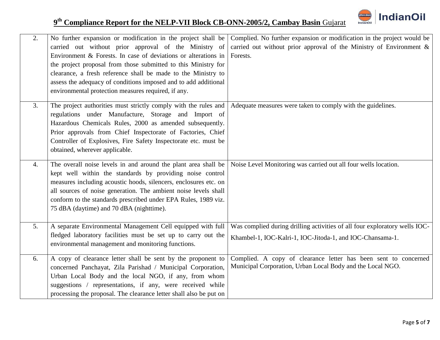

| 2. | No further expansion or modification in the project shall be<br>carried out without prior approval of the Ministry of<br>Environment & Forests. In case of deviations or alterations in<br>the project proposal from those submitted to this Ministry for<br>clearance, a fresh reference shall be made to the Ministry to<br>assess the adequacy of conditions imposed and to add additional<br>environmental protection measures required, if any. | Complied. No further expansion or modification in the project would be<br>carried out without prior approval of the Ministry of Environment &<br>Forests. |
|----|------------------------------------------------------------------------------------------------------------------------------------------------------------------------------------------------------------------------------------------------------------------------------------------------------------------------------------------------------------------------------------------------------------------------------------------------------|-----------------------------------------------------------------------------------------------------------------------------------------------------------|
| 3. | The project authorities must strictly comply with the rules and<br>regulations under Manufacture, Storage and Import of<br>Hazardous Chemicals Rules, 2000 as amended subsequently.<br>Prior approvals from Chief Inspectorate of Factories, Chief<br>Controller of Explosives, Fire Safety Inspectorate etc. must be<br>obtained, wherever applicable.                                                                                              | Adequate measures were taken to comply with the guidelines.                                                                                               |
| 4. | The overall noise levels in and around the plant area shall be<br>kept well within the standards by providing noise control<br>measures including acoustic hoods, silencers, enclosures etc. on<br>all sources of noise generation. The ambient noise levels shall<br>conform to the standards prescribed under EPA Rules, 1989 viz.<br>75 dBA (daytime) and 70 dBA (nighttime).                                                                     | Noise Level Monitoring was carried out all four wells location.                                                                                           |
| 5. | A separate Environmental Management Cell equipped with full<br>fledged laboratory facilities must be set up to carry out the<br>environmental management and monitoring functions.                                                                                                                                                                                                                                                                   | Was complied during drilling activities of all four exploratory wells IOC-<br>Khambel-1, IOC-Kalri-1, IOC-Jitoda-1, and IOC-Chansama-1.                   |
| 6. | A copy of clearance letter shall be sent by the proponent to<br>concerned Panchayat, Zila Parishad / Municipal Corporation,<br>Urban Local Body and the local NGO, if any, from whom<br>suggestions / representations, if any, were received while<br>processing the proposal. The clearance letter shall also be put on                                                                                                                             | Complied. A copy of clearance letter has been sent to concerned<br>Municipal Corporation, Urban Local Body and the Local NGO.                             |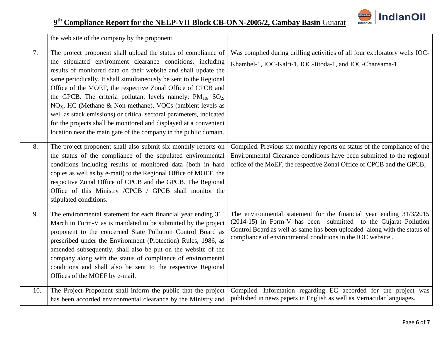

|     | the web site of the company by the proponent.                                                                                                                                                                                                                                                                                                                                                                                                                                                                                                                                                                                                                                                         |                                                                                                                                                                                                                                                                                  |
|-----|-------------------------------------------------------------------------------------------------------------------------------------------------------------------------------------------------------------------------------------------------------------------------------------------------------------------------------------------------------------------------------------------------------------------------------------------------------------------------------------------------------------------------------------------------------------------------------------------------------------------------------------------------------------------------------------------------------|----------------------------------------------------------------------------------------------------------------------------------------------------------------------------------------------------------------------------------------------------------------------------------|
| 7.  | The project proponent shall upload the status of compliance of<br>the stipulated environment clearance conditions, including<br>results of monitored data on their website and shall update the<br>same periodically. It shall simultaneously be sent to the Regional<br>Office of the MOEF, the respective Zonal Office of CPCB and<br>the GPCB. The criteria pollutant levels namely; $PM_{10}$ , $SO_2$ ,<br>NO <sub>X</sub> , HC (Methane & Non-methane), VOCs (ambient levels as<br>well as stack emissions) or critical sectoral parameters, indicated<br>for the projects shall be monitored and displayed at a convenient<br>location near the main gate of the company in the public domain. | Was complied during drilling activities of all four exploratory wells IOC-<br>Khambel-1, IOC-Kalri-1, IOC-Jitoda-1, and IOC-Chansama-1.                                                                                                                                          |
| 8.  | The project proponent shall also submit six monthly reports on<br>the status of the compliance of the stipulated environmental<br>conditions including results of monitored data (both in hard<br>copies as well as by e-mail) to the Regional Office of MOEF, the<br>respective Zonal Office of CPCB and the GPCB. The Regional<br>Office of this Ministry /CPCB / GPCB shall monitor the<br>stipulated conditions.                                                                                                                                                                                                                                                                                  | Complied. Previous six monthly reports on status of the compliance of the<br>Environmental Clearance conditions have been submitted to the regional<br>office of the MoEF, the respective Zonal Office of CPCB and the GPCB;                                                     |
| 9.  | The environmental statement for each financial year ending 31 <sup>st</sup><br>March in Form-V as is mandated to be submitted by the project<br>proponent to the concerned State Pollution Control Board as<br>prescribed under the Environment (Protection) Rules, 1986, as<br>amended subsequently, shall also be put on the website of the<br>company along with the status of compliance of environmental<br>conditions and shall also be sent to the respective Regional<br>Offices of the MOEF by e-mail.                                                                                                                                                                                       | The environmental statement for the financial year ending 31/3/2015<br>(2014-15) in Form-V has been submitted to the Gujarat Pollution<br>Control Board as well as same has been uploaded along with the status of<br>compliance of environmental conditions in the IOC website. |
| 10. | The Project Proponent shall inform the public that the project<br>has been accorded environmental clearance by the Ministry and                                                                                                                                                                                                                                                                                                                                                                                                                                                                                                                                                                       | Complied. Information regarding EC accorded for the project was<br>published in news papers in English as well as Vernacular languages.                                                                                                                                          |